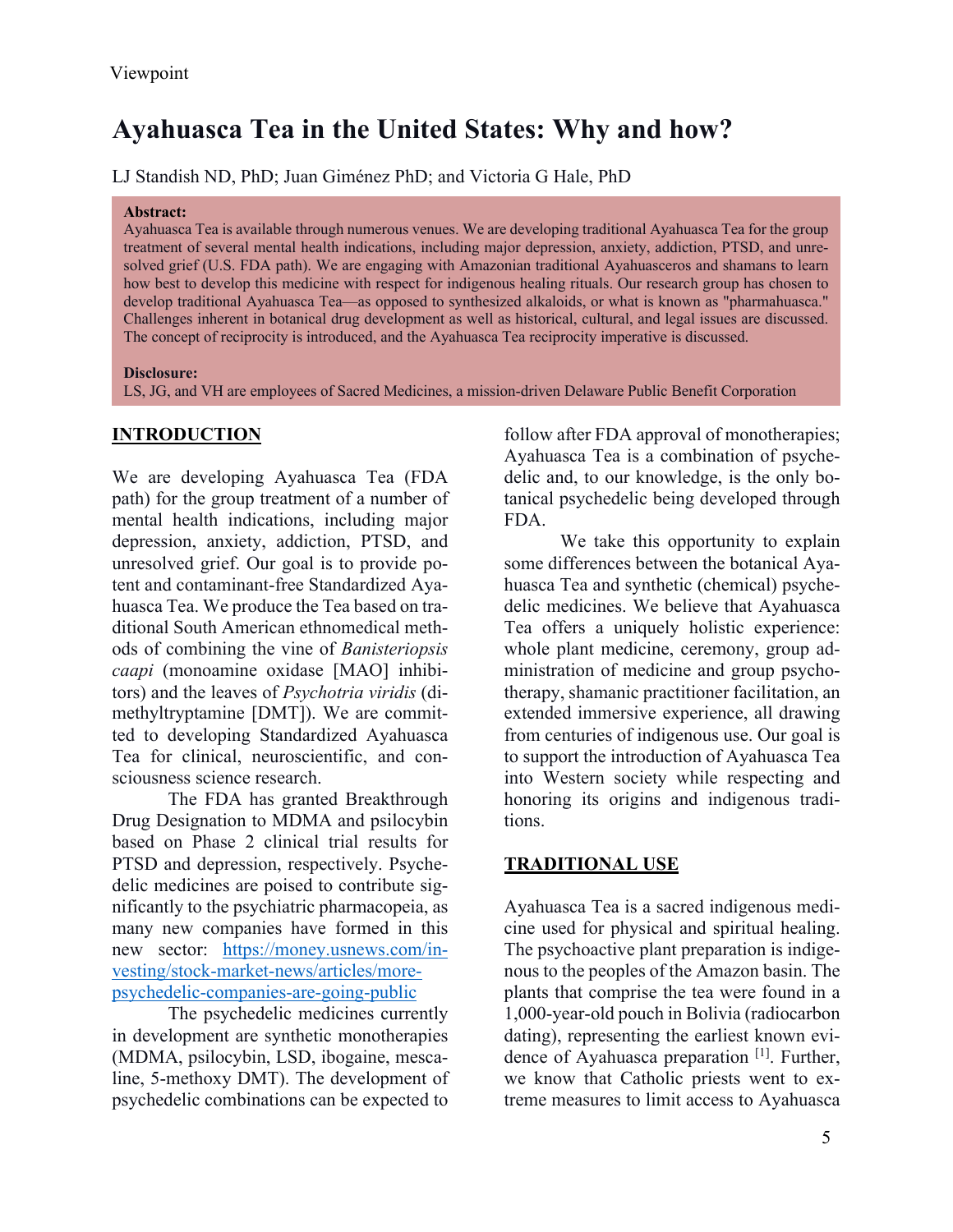# **Ayahuasca Tea in the United States: Why and how?**

LJ Standish ND, PhD; Juan Giménez PhD; and Victoria G Hale, PhD

#### **Abstract:**

Ayahuasca Tea is available through numerous venues. We are developing traditional Ayahuasca Tea for the group treatment of several mental health indications, including major depression, anxiety, addiction, PTSD, and unresolved grief (U.S. FDA path). We are engaging with Amazonian traditional Ayahuasceros and shamans to learn how best to develop this medicine with respect for indigenous healing rituals. Our research group has chosen to develop traditional Ayahuasca Tea—as opposed to synthesized alkaloids, or what is known as "pharmahuasca." Challenges inherent in botanical drug development as well as historical, cultural, and legal issues are discussed. The concept of reciprocity is introduced, and the Ayahuasca Tea reciprocity imperative is discussed.

#### **Disclosure:**

LS, JG, and VH are employees of Sacred Medicines, a mission-driven Delaware Public Benefit Corporation

### **INTRODUCTION**

We are developing Ayahuasca Tea (FDA path) for the group treatment of a number of mental health indications, including major depression, anxiety, addiction, PTSD, and unresolved grief. Our goal is to provide potent and contaminant-free Standardized Ayahuasca Tea. We produce the Tea based on traditional South American ethnomedical methods of combining the vine of *Banisteriopsis caapi* (monoamine oxidase [MAO] inhibitors) and the leaves of *Psychotria viridis* (dimethyltryptamine [DMT]). We are committed to developing Standardized Ayahuasca Tea for clinical, neuroscientific, and consciousness science research.

The FDA has granted Breakthrough Drug Designation to MDMA and psilocybin based on Phase 2 clinical trial results for PTSD and depression, respectively. Psychedelic medicines are poised to contribute significantly to the psychiatric pharmacopeia, as many new companies have formed in this new sector: https://money.usnews.com/investing/stock-market-news/articles/morepsychedelic-companies-are-going-public

The psychedelic medicines currently in development are synthetic monotherapies (MDMA, psilocybin, LSD, ibogaine, mescaline, 5-methoxy DMT). The development of psychedelic combinations can be expected to

follow after FDA approval of monotherapies; Ayahuasca Tea is a combination of psychedelic and, to our knowledge, is the only botanical psychedelic being developed through FDA.

We take this opportunity to explain some differences between the botanical Ayahuasca Tea and synthetic (chemical) psychedelic medicines. We believe that Ayahuasca Tea offers a uniquely holistic experience: whole plant medicine, ceremony, group administration of medicine and group psychotherapy, shamanic practitioner facilitation, an extended immersive experience, all drawing from centuries of indigenous use. Our goal is to support the introduction of Ayahuasca Tea into Western society while respecting and honoring its origins and indigenous traditions.

### **TRADITIONAL USE**

Ayahuasca Tea is a sacred indigenous medicine used for physical and spiritual healing. The psychoactive plant preparation is indigenous to the peoples of the Amazon basin. The plants that comprise the tea were found in a 1,000-year-old pouch in Bolivia (radiocarbon dating), representing the earliest known evidence of Ayahuasca preparation [1]. Further, we know that Catholic priests went to extreme measures to limit access to Ayahuasca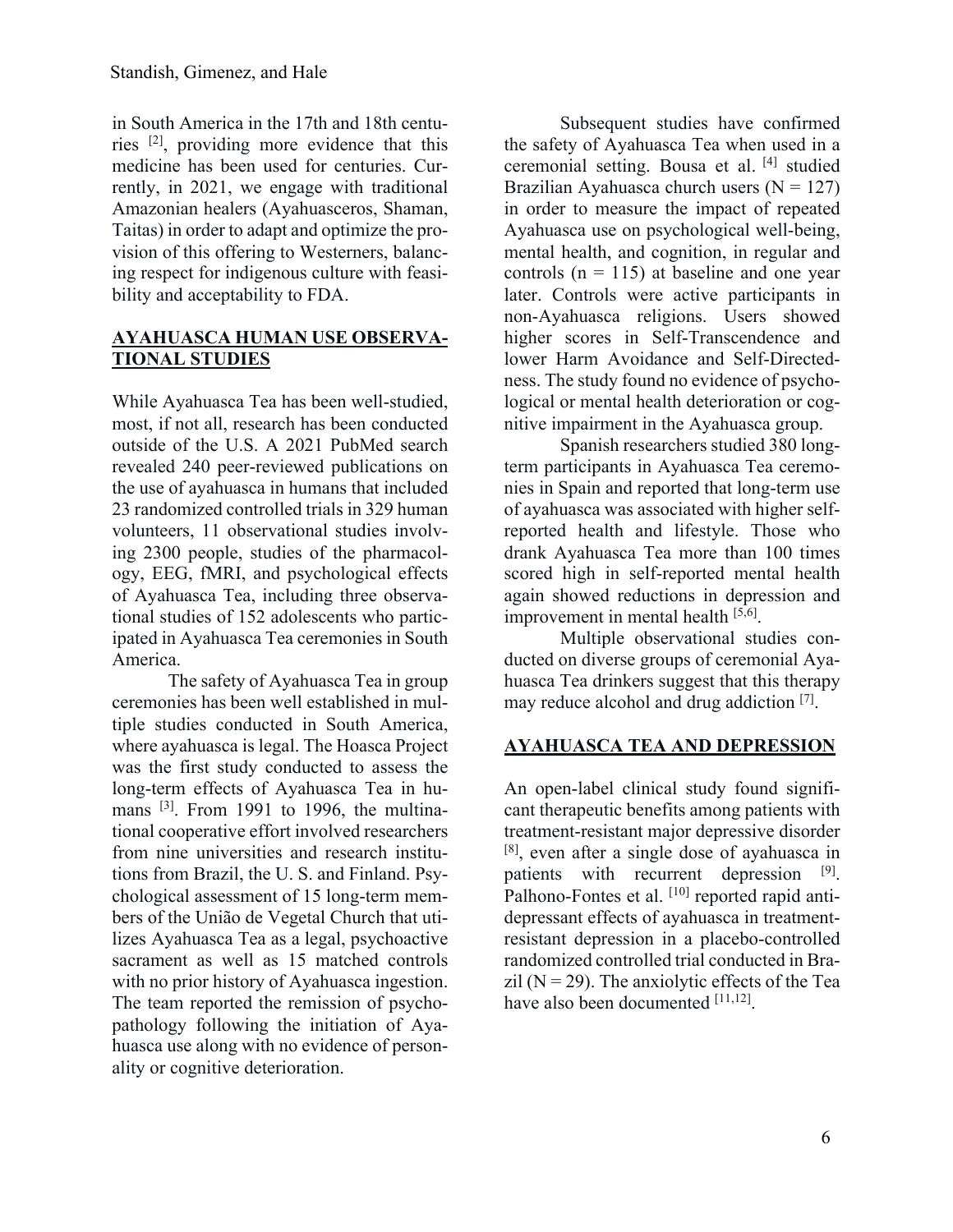in South America in the 17th and 18th centuries [2], providing more evidence that this medicine has been used for centuries. Currently, in 2021, we engage with traditional Amazonian healers (Ayahuasceros, Shaman, Taitas) in order to adapt and optimize the provision of this offering to Westerners, balancing respect for indigenous culture with feasibility and acceptability to FDA.

### **AYAHUASCA HUMAN USE OBSERVA-TIONAL STUDIES**

While Ayahuasca Tea has been well-studied, most, if not all, research has been conducted outside of the U.S. A 2021 PubMed search revealed 240 peer-reviewed publications on the use of ayahuasca in humans that included 23 randomized controlled trials in 329 human volunteers, 11 observational studies involving 2300 people, studies of the pharmacology, EEG, fMRI, and psychological effects of Ayahuasca Tea, including three observational studies of 152 adolescents who participated in Ayahuasca Tea ceremonies in South America.

The safety of Ayahuasca Tea in group ceremonies has been well established in multiple studies conducted in South America, where ayahuasca is legal. The Hoasca Project was the first study conducted to assess the long-term effects of Ayahuasca Tea in humans <sup>[3]</sup>. From 1991 to 1996, the multinational cooperative effort involved researchers from nine universities and research institutions from Brazil, the U. S. and Finland. Psychological assessment of 15 long-term members of the União de Vegetal Church that utilizes Ayahuasca Tea as a legal, psychoactive sacrament as well as 15 matched controls with no prior history of Ayahuasca ingestion. The team reported the remission of psychopathology following the initiation of Ayahuasca use along with no evidence of personality or cognitive deterioration.

Subsequent studies have confirmed the safety of Ayahuasca Tea when used in a ceremonial setting. Bousa et al. [4] studied Brazilian Ayahuasca church users  $(N = 127)$ in order to measure the impact of repeated Ayahuasca use on psychological well-being, mental health, and cognition, in regular and controls ( $n = 115$ ) at baseline and one year later. Controls were active participants in non-Ayahuasca religions. Users showed higher scores in Self-Transcendence and lower Harm Avoidance and Self-Directedness. The study found no evidence of psychological or mental health deterioration or cognitive impairment in the Ayahuasca group.

Spanish researchers studied 380 longterm participants in Ayahuasca Tea ceremonies in Spain and reported that long-term use of ayahuasca was associated with higher selfreported health and lifestyle. Those who drank Ayahuasca Tea more than 100 times scored high in self-reported mental health again showed reductions in depression and improvement in mental health [5,6].

Multiple observational studies conducted on diverse groups of ceremonial Ayahuasca Tea drinkers suggest that this therapy may reduce alcohol and drug addiction [7].

### **AYAHUASCA TEA AND DEPRESSION**

An open-label clinical study found significant therapeutic benefits among patients with treatment-resistant major depressive disorder [8], even after a single dose of ayahuasca in patients with recurrent depression [9]. Palhono-Fontes et al. [10] reported rapid antidepressant effects of ayahuasca in treatmentresistant depression in a placebo-controlled randomized controlled trial conducted in Brazil ( $N = 29$ ). The anxiolytic effects of the Tea have also been documented  $[11,12]$ .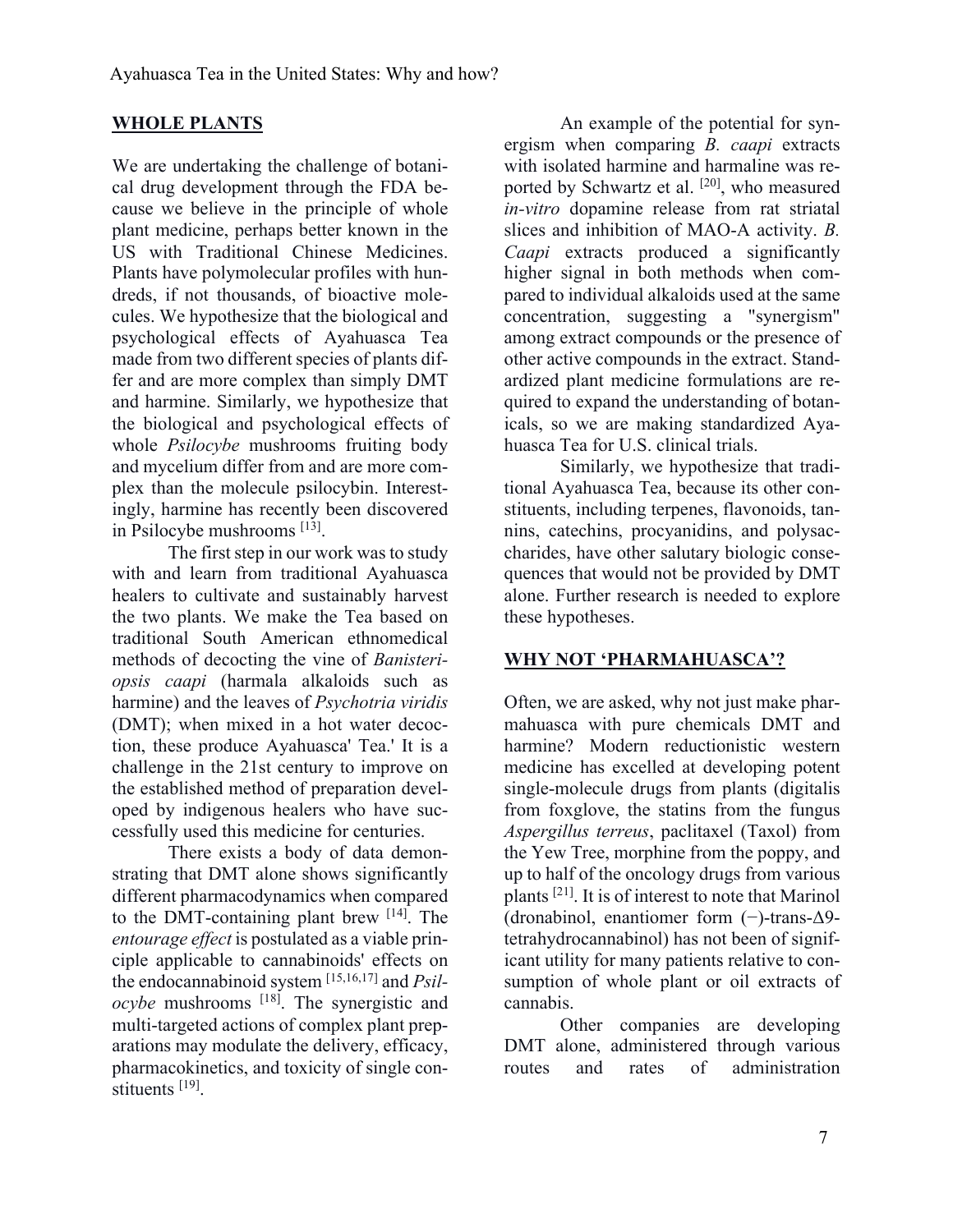### **WHOLE PLANTS**

We are undertaking the challenge of botanical drug development through the FDA because we believe in the principle of whole plant medicine, perhaps better known in the US with Traditional Chinese Medicines. Plants have polymolecular profiles with hundreds, if not thousands, of bioactive molecules. We hypothesize that the biological and psychological effects of Ayahuasca Tea made from two different species of plants differ and are more complex than simply DMT and harmine. Similarly, we hypothesize that the biological and psychological effects of whole *Psilocybe* mushrooms fruiting body and mycelium differ from and are more complex than the molecule psilocybin. Interestingly, harmine has recently been discovered in Psilocybe mushrooms [13].

The first step in our work was to study with and learn from traditional Ayahuasca healers to cultivate and sustainably harvest the two plants. We make the Tea based on traditional South American ethnomedical methods of decocting the vine of *Banisteriopsis caapi* (harmala alkaloids such as harmine) and the leaves of *Psychotria viridis* (DMT); when mixed in a hot water decoction, these produce Ayahuasca' Tea.' It is a challenge in the 21st century to improve on the established method of preparation developed by indigenous healers who have successfully used this medicine for centuries.

There exists a body of data demonstrating that DMT alone shows significantly different pharmacodynamics when compared to the DMT-containing plant brew [14]. The *entourage effect* is postulated as a viable principle applicable to cannabinoids' effects on the endocannabinoid system [15,16,17] and *Psilocybe* mushrooms [18]. The synergistic and multi-targeted actions of complex plant preparations may modulate the delivery, efficacy, pharmacokinetics, and toxicity of single constituents [19].

An example of the potential for synergism when comparing *B. caapi* extracts with isolated harmine and harmaline was reported by Schwartz et al. <sup>[20]</sup>, who measured *in-vitro* dopamine release from rat striatal slices and inhibition of MAO-A activity. *B. Caapi* extracts produced a significantly higher signal in both methods when compared to individual alkaloids used at the same concentration, suggesting a "synergism" among extract compounds or the presence of other active compounds in the extract. Standardized plant medicine formulations are required to expand the understanding of botanicals, so we are making standardized Ayahuasca Tea for U.S. clinical trials.

Similarly, we hypothesize that traditional Ayahuasca Tea, because its other constituents, including terpenes, flavonoids, tannins, catechins, procyanidins, and polysaccharides, have other salutary biologic consequences that would not be provided by DMT alone. Further research is needed to explore these hypotheses.

### **WHY NOT 'PHARMAHUASCA'?**

Often, we are asked, why not just make pharmahuasca with pure chemicals DMT and harmine? Modern reductionistic western medicine has excelled at developing potent single-molecule drugs from plants (digitalis from foxglove, the statins from the fungus *Aspergillus terreus*, paclitaxel (Taxol) from the Yew Tree, morphine from the poppy, and up to half of the oncology drugs from various plants [21]. It is of interest to note that Marinol (dronabinol, enantiomer form (−)-trans-Δ9 tetrahydrocannabinol) has not been of significant utility for many patients relative to consumption of whole plant or oil extracts of cannabis.

Other companies are developing DMT alone, administered through various routes and rates of administration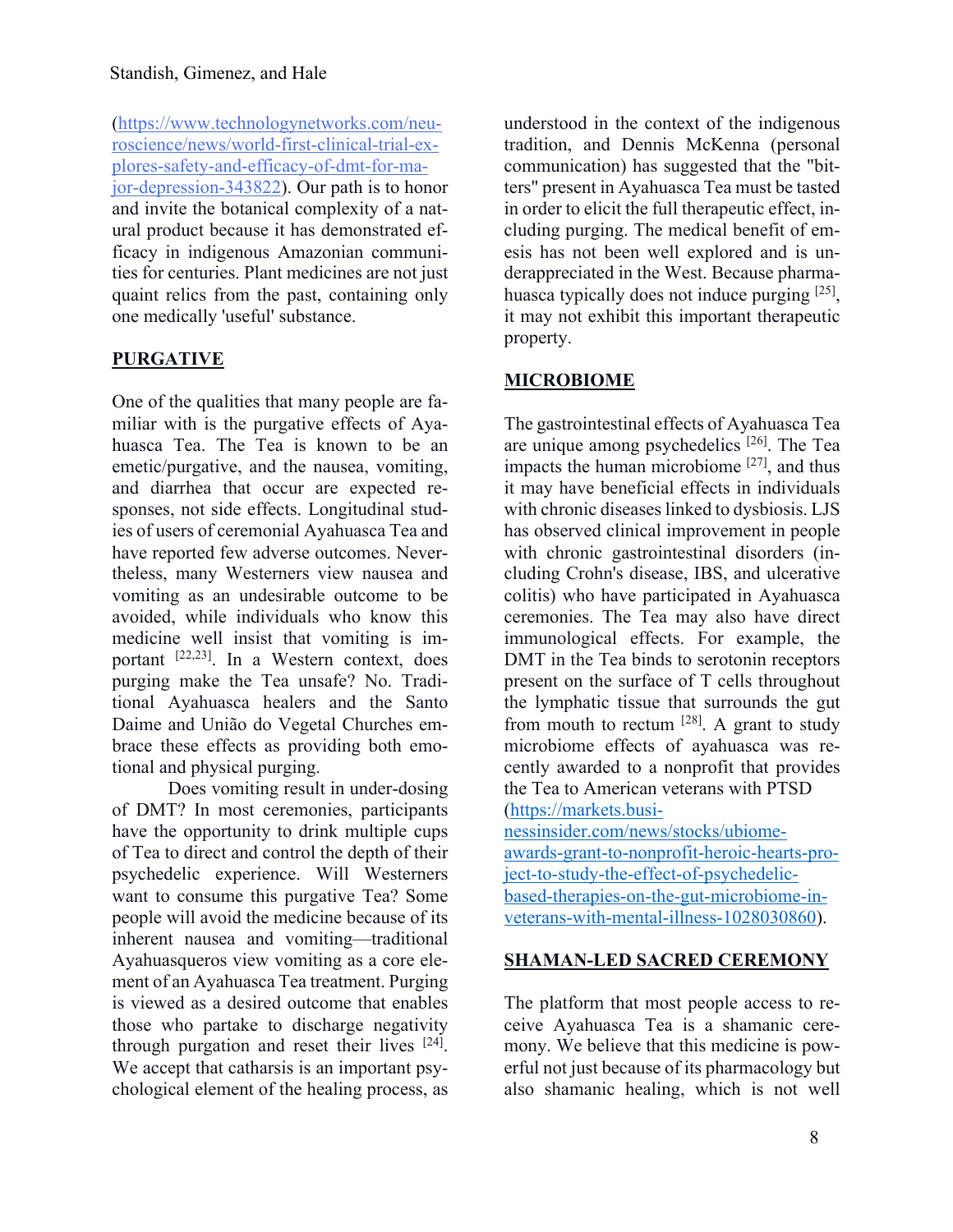(https://www.technologynetworks.com/neuroscience/news/world-first-clinical-trial-explores-safety-and-efficacy-of-dmt-for-major-depression-343822). Our path is to honor and invite the botanical complexity of a natural product because it has demonstrated efficacy in indigenous Amazonian communities for centuries. Plant medicines are not just quaint relics from the past, containing only one medically 'useful' substance.

### **PURGATIVE**

One of the qualities that many people are familiar with is the purgative effects of Ayahuasca Tea. The Tea is known to be an emetic/purgative, and the nausea, vomiting, and diarrhea that occur are expected responses, not side effects. Longitudinal studies of users of ceremonial Ayahuasca Tea and have reported few adverse outcomes. Nevertheless, many Westerners view nausea and vomiting as an undesirable outcome to be avoided, while individuals who know this medicine well insist that vomiting is important [22,23]. In a Western context, does purging make the Tea unsafe? No. Traditional Ayahuasca healers and the Santo Daime and União do Vegetal Churches embrace these effects as providing both emotional and physical purging.

Does vomiting result in under-dosing of DMT? In most ceremonies, participants have the opportunity to drink multiple cups of Tea to direct and control the depth of their psychedelic experience. Will Westerners want to consume this purgative Tea? Some people will avoid the medicine because of its inherent nausea and vomiting—traditional Ayahuasqueros view vomiting as a core element of an Ayahuasca Tea treatment. Purging is viewed as a desired outcome that enables those who partake to discharge negativity through purgation and reset their lives [24]. We accept that catharsis is an important psychological element of the healing process, as

understood in the context of the indigenous tradition, and Dennis McKenna (personal communication) has suggested that the "bitters" present in Ayahuasca Tea must be tasted in order to elicit the full therapeutic effect, including purging. The medical benefit of emesis has not been well explored and is underappreciated in the West. Because pharmahuasca typically does not induce purging [25], it may not exhibit this important therapeutic property.

### **MICROBIOME**

The gastrointestinal effects of Ayahuasca Tea are unique among psychedelics [26]. The Tea impacts the human microbiome  $[27]$ , and thus it may have beneficial effects in individuals with chronic diseases linked to dysbiosis. LJS has observed clinical improvement in people with chronic gastrointestinal disorders (including Crohn's disease, IBS, and ulcerative colitis) who have participated in Ayahuasca ceremonies. The Tea may also have direct immunological effects. For example, the DMT in the Tea binds to serotonin receptors present on the surface of T cells throughout the lymphatic tissue that surrounds the gut from mouth to rectum  $[28]$ . A grant to study microbiome effects of ayahuasca was recently awarded to a nonprofit that provides the Tea to American veterans with PTSD (https://markets.businessinsider.com/news/stocks/ubiome-

awards-grant-to-nonprofit-heroic-hearts-project-to-study-the-effect-of-psychedelicbased-therapies-on-the-gut-microbiome-inveterans-with-mental-illness-1028030860).

### **SHAMAN-LED SACRED CEREMONY**

The platform that most people access to receive Ayahuasca Tea is a shamanic ceremony. We believe that this medicine is powerful not just because of its pharmacology but also shamanic healing, which is not well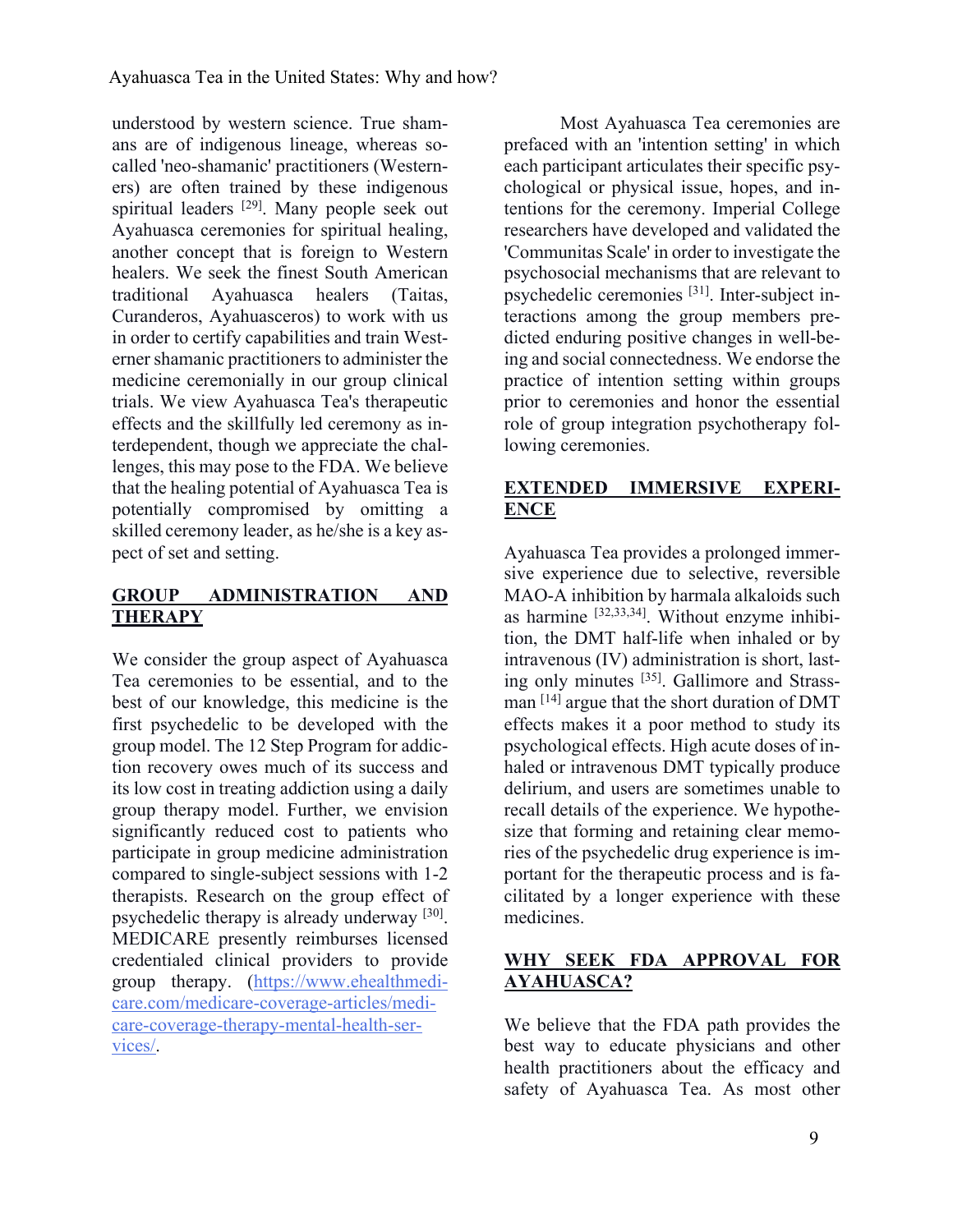understood by western science. True shamans are of indigenous lineage, whereas socalled 'neo-shamanic' practitioners (Westerners) are often trained by these indigenous spiritual leaders <sup>[29]</sup>. Many people seek out Ayahuasca ceremonies for spiritual healing, another concept that is foreign to Western healers. We seek the finest South American traditional Ayahuasca healers (Taitas, Curanderos, Ayahuasceros) to work with us in order to certify capabilities and train Westerner shamanic practitioners to administer the medicine ceremonially in our group clinical trials. We view Ayahuasca Tea's therapeutic effects and the skillfully led ceremony as interdependent, though we appreciate the challenges, this may pose to the FDA. We believe that the healing potential of Ayahuasca Tea is potentially compromised by omitting a skilled ceremony leader, as he/she is a key aspect of set and setting.

## **GROUP ADMINISTRATION AND THERAPY**

We consider the group aspect of Ayahuasca Tea ceremonies to be essential, and to the best of our knowledge, this medicine is the first psychedelic to be developed with the group model. The 12 Step Program for addiction recovery owes much of its success and its low cost in treating addiction using a daily group therapy model. Further, we envision significantly reduced cost to patients who participate in group medicine administration compared to single-subject sessions with 1-2 therapists. Research on the group effect of psychedelic therapy is already underway [30]. MEDICARE presently reimburses licensed credentialed clinical providers to provide group therapy. (https://www.ehealthmedicare.com/medicare-coverage-articles/medicare-coverage-therapy-mental-health-services/.

Most Ayahuasca Tea ceremonies are prefaced with an 'intention setting' in which each participant articulates their specific psychological or physical issue, hopes, and intentions for the ceremony. Imperial College researchers have developed and validated the 'Communitas Scale' in order to investigate the psychosocial mechanisms that are relevant to psychedelic ceremonies [31]. Inter-subject interactions among the group members predicted enduring positive changes in well-being and social connectedness. We endorse the practice of intention setting within groups prior to ceremonies and honor the essential role of group integration psychotherapy following ceremonies.

# **EXTENDED IMMERSIVE EXPERI-ENCE**

Ayahuasca Tea provides a prolonged immersive experience due to selective, reversible MAO-A inhibition by harmala alkaloids such as harmine [32,33,34]. Without enzyme inhibition, the DMT half-life when inhaled or by intravenous (IV) administration is short, lasting only minutes [35]. Gallimore and Strassman [14] argue that the short duration of DMT effects makes it a poor method to study its psychological effects. High acute doses of inhaled or intravenous DMT typically produce delirium, and users are sometimes unable to recall details of the experience. We hypothesize that forming and retaining clear memories of the psychedelic drug experience is important for the therapeutic process and is facilitated by a longer experience with these medicines.

## **WHY SEEK FDA APPROVAL FOR AYAHUASCA?**

We believe that the FDA path provides the best way to educate physicians and other health practitioners about the efficacy and safety of Ayahuasca Tea. As most other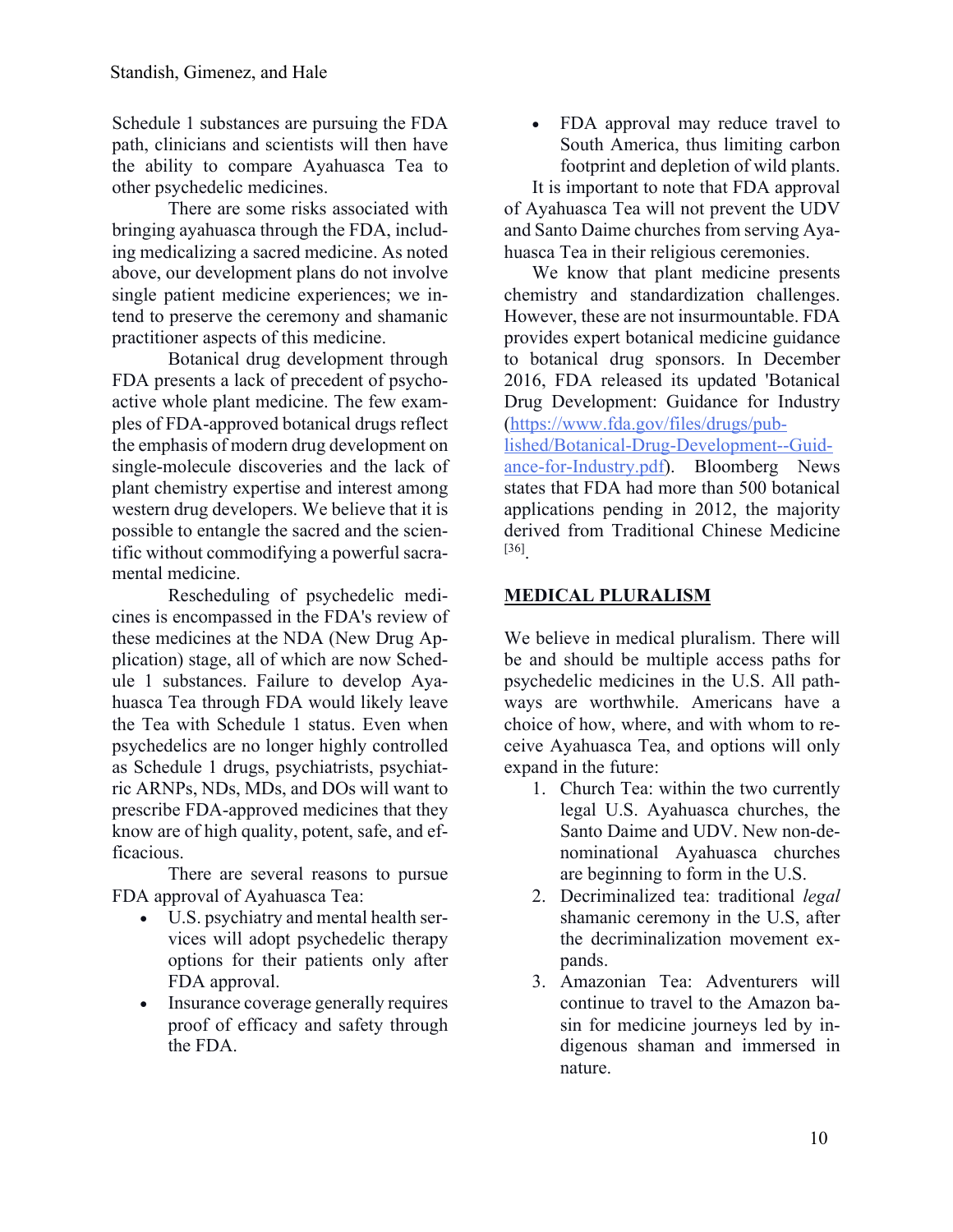Schedule 1 substances are pursuing the FDA path, clinicians and scientists will then have the ability to compare Ayahuasca Tea to other psychedelic medicines.

There are some risks associated with bringing ayahuasca through the FDA, including medicalizing a sacred medicine. As noted above, our development plans do not involve single patient medicine experiences; we intend to preserve the ceremony and shamanic practitioner aspects of this medicine.

Botanical drug development through FDA presents a lack of precedent of psychoactive whole plant medicine. The few examples of FDA-approved botanical drugs reflect the emphasis of modern drug development on single-molecule discoveries and the lack of plant chemistry expertise and interest among western drug developers. We believe that it is possible to entangle the sacred and the scientific without commodifying a powerful sacramental medicine.

Rescheduling of psychedelic medicines is encompassed in the FDA's review of these medicines at the NDA (New Drug Application) stage, all of which are now Schedule 1 substances. Failure to develop Ayahuasca Tea through FDA would likely leave the Tea with Schedule 1 status. Even when psychedelics are no longer highly controlled as Schedule 1 drugs, psychiatrists, psychiatric ARNPs, NDs, MDs, and DOs will want to prescribe FDA-approved medicines that they know are of high quality, potent, safe, and efficacious.

There are several reasons to pursue FDA approval of Ayahuasca Tea:

- U.S. psychiatry and mental health services will adopt psychedelic therapy options for their patients only after FDA approval.
- Insurance coverage generally requires proof of efficacy and safety through the FDA.

• FDA approval may reduce travel to South America, thus limiting carbon footprint and depletion of wild plants.

It is important to note that FDA approval of Ayahuasca Tea will not prevent the UDV and Santo Daime churches from serving Ayahuasca Tea in their religious ceremonies.

We know that plant medicine presents chemistry and standardization challenges. However, these are not insurmountable. FDA provides expert botanical medicine guidance to botanical drug sponsors. In December 2016, FDA released its updated 'Botanical Drug Development: Guidance for Industry (https://www.fda.gov/files/drugs/published/Botanical-Drug-Development--Guid-

ance-for-Industry.pdf). Bloomberg News states that FDA had more than 500 botanical applications pending in 2012, the majority derived from Traditional Chinese Medicine [36].

## **MEDICAL PLURALISM**

We believe in medical pluralism. There will be and should be multiple access paths for psychedelic medicines in the U.S. All pathways are worthwhile. Americans have a choice of how, where, and with whom to receive Ayahuasca Tea, and options will only expand in the future:

- 1. Church Tea: within the two currently legal U.S. Ayahuasca churches, the Santo Daime and UDV. New non-denominational Ayahuasca churches are beginning to form in the U.S.
- 2. Decriminalized tea: traditional *legal* shamanic ceremony in the U.S, after the decriminalization movement expands.
- 3. Amazonian Tea: Adventurers will continue to travel to the Amazon basin for medicine journeys led by indigenous shaman and immersed in nature.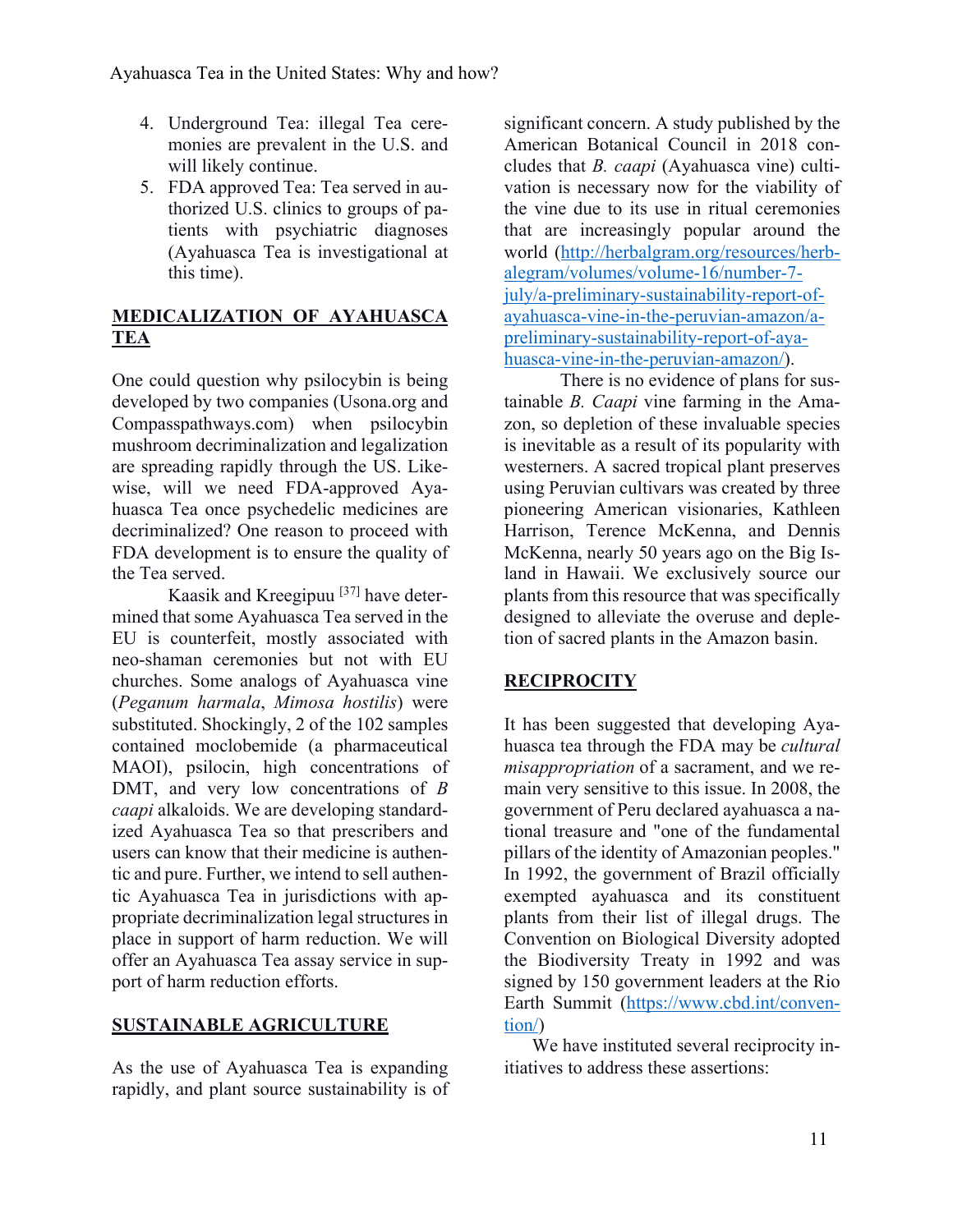- 4. Underground Tea: illegal Tea ceremonies are prevalent in the U.S. and will likely continue.
- 5. FDA approved Tea: Tea served in authorized U.S. clinics to groups of patients with psychiatric diagnoses (Ayahuasca Tea is investigational at this time).

### **MEDICALIZATION OF AYAHUASCA TEA**

One could question why psilocybin is being developed by two companies (Usona.org and Compasspathways.com) when psilocybin mushroom decriminalization and legalization are spreading rapidly through the US. Likewise, will we need FDA-approved Ayahuasca Tea once psychedelic medicines are decriminalized? One reason to proceed with FDA development is to ensure the quality of the Tea served.

Kaasik and Kreegipuu [37] have determined that some Ayahuasca Tea served in the EU is counterfeit, mostly associated with neo-shaman ceremonies but not with EU churches. Some analogs of Ayahuasca vine (*Peganum harmala*, *Mimosa hostilis*) were substituted. Shockingly, 2 of the 102 samples contained moclobemide (a pharmaceutical MAOI), psilocin, high concentrations of DMT, and very low concentrations of *B caapi* alkaloids. We are developing standardized Ayahuasca Tea so that prescribers and users can know that their medicine is authentic and pure. Further, we intend to sell authentic Ayahuasca Tea in jurisdictions with appropriate decriminalization legal structures in place in support of harm reduction. We will offer an Ayahuasca Tea assay service in support of harm reduction efforts.

### **SUSTAINABLE AGRICULTURE**

As the use of Ayahuasca Tea is expanding rapidly, and plant source sustainability is of significant concern. A study published by the American Botanical Council in 2018 concludes that *B. caapi* (Ayahuasca vine) cultivation is necessary now for the viability of the vine due to its use in ritual ceremonies that are increasingly popular around the world (http://herbalgram.org/resources/herbalegram/volumes/volume-16/number-7 july/a-preliminary-sustainability-report-ofayahuasca-vine-in-the-peruvian-amazon/apreliminary-sustainability-report-of-ayahuasca-vine-in-the-peruvian-amazon/).

There is no evidence of plans for sustainable *B. Caapi* vine farming in the Amazon, so depletion of these invaluable species is inevitable as a result of its popularity with westerners. A sacred tropical plant preserves using Peruvian cultivars was created by three pioneering American visionaries, Kathleen Harrison, Terence McKenna, and Dennis McKenna, nearly 50 years ago on the Big Island in Hawaii. We exclusively source our plants from this resource that was specifically designed to alleviate the overuse and depletion of sacred plants in the Amazon basin.

### **RECIPROCITY**

It has been suggested that developing Ayahuasca tea through the FDA may be *cultural misappropriation* of a sacrament, and we remain very sensitive to this issue. In 2008, the government of Peru declared ayahuasca a national treasure and "one of the fundamental pillars of the identity of Amazonian peoples." In 1992, the government of Brazil officially exempted ayahuasca and its constituent plants from their list of illegal drugs. The Convention on Biological Diversity adopted the Biodiversity Treaty in 1992 and was signed by 150 government leaders at the Rio Earth Summit (https://www.cbd.int/convention/)

We have instituted several reciprocity initiatives to address these assertions: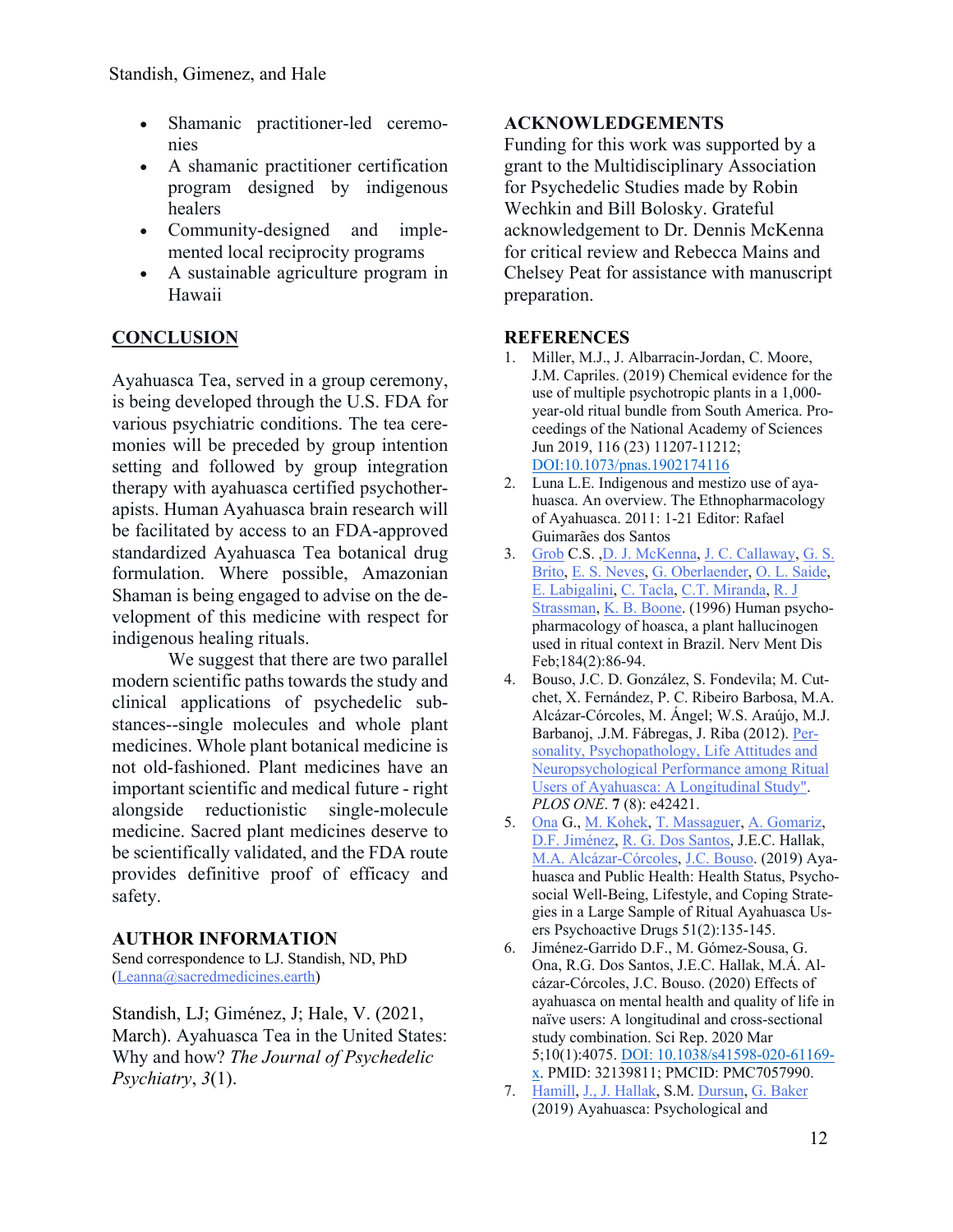- Shamanic practitioner-led ceremonies
- A shamanic practitioner certification program designed by indigenous healers
- Community-designed and implemented local reciprocity programs
- A sustainable agriculture program in Hawaii

## **CONCLUSION**

Ayahuasca Tea, served in a group ceremony, is being developed through the U.S. FDA for various psychiatric conditions. The tea ceremonies will be preceded by group intention setting and followed by group integration therapy with ayahuasca certified psychotherapists. Human Ayahuasca brain research will be facilitated by access to an FDA-approved standardized Ayahuasca Tea botanical drug formulation. Where possible, Amazonian Shaman is being engaged to advise on the development of this medicine with respect for indigenous healing rituals.

We suggest that there are two parallel modern scientific paths towards the study and clinical applications of psychedelic substances--single molecules and whole plant medicines. Whole plant botanical medicine is not old-fashioned. Plant medicines have an important scientific and medical future - right alongside reductionistic single-molecule medicine. Sacred plant medicines deserve to be scientifically validated, and the FDA route provides definitive proof of efficacy and safety.

### **AUTHOR INFORMATION**

Send correspondence to LJ. Standish, ND, PhD (Leanna@sacredmedicines.earth)

Standish, LJ; Giménez, J; Hale, V. (2021, March). Ayahuasca Tea in the United States: Why and how? *The Journal of Psychedelic Psychiatry*, *3*(1).

### **ACKNOWLEDGEMENTS**

Funding for this work was supported by a grant to the Multidisciplinary Association for Psychedelic Studies made by Robin Wechkin and Bill Bolosky. Grateful acknowledgement to Dr. Dennis McKenna for critical review and Rebecca Mains and Chelsey Peat for assistance with manuscript preparation.

#### **REFERENCES**

- 1. Miller, M.J., J. Albarracin-Jordan, C. Moore, J.M. Capriles. (2019) Chemical evidence for the use of multiple psychotropic plants in a 1,000 year-old ritual bundle from South America. Proceedings of the National Academy of Sciences Jun 2019, 116 (23) 11207-11212; DOI:10.1073/pnas.1902174116
- 2. Luna L.E. Indigenous and mestizo use of ayahuasca. An overview. The Ethnopharmacology of Ayahuasca. 2011: 1-21 Editor: Rafael Guimarães dos Santos
- 3. Grob C.S. ,D. J. McKenna, J. C. Callaway, G. S. Brito, E. S. Neves, G. Oberlaender, O. L. Saide, E. Labigalini, C. Tacla, C.T. Miranda, R. J Strassman, K. B. Boone. (1996) Human psychopharmacology of hoasca, a plant hallucinogen used in ritual context in Brazil. Nerv Ment Dis Feb;184(2):86-94.
- 4. Bouso, J.C. D. González, S. Fondevila; M. Cutchet, X. Fernández, P. C. Ribeiro Barbosa, M.A. Alcázar-Córcoles, M. Ángel; W.S. Araújo, M.J. Barbanoj, .J.M. Fábregas, J. Riba (2012). Personality, Psychopathology, Life Attitudes and Neuropsychological Performance among Ritual Users of Ayahuasca: A Longitudinal Study". *PLOS ONE*. **7** (8): e42421.
- 5. Ona G., M. Kohek, T. Massaguer, A. Gomariz, D.F. Jiménez, R. G. Dos Santos, J.E.C. Hallak, M.A. Alcázar-Córcoles, J.C. Bouso. (2019) Ayahuasca and Public Health: Health Status, Psychosocial Well-Being, Lifestyle, and Coping Strategies in a Large Sample of Ritual Ayahuasca Users Psychoactive Drugs 51(2):135-145.
- 6. Jiménez-Garrido D.F., M. Gómez-Sousa, G. Ona, R.G. Dos Santos, J.E.C. Hallak, M.Á. Alcázar-Córcoles, J.C. Bouso. (2020) Effects of ayahuasca on mental health and quality of life in naïve users: A longitudinal and cross-sectional study combination. Sci Rep. 2020 Mar 5;10(1):4075. DOI: 10.1038/s41598-020-61169 x. PMID: 32139811; PMCID: PMC7057990.
- 7. Hamill, J., J. Hallak, S.M. Dursun, G. Baker (2019) Ayahuasca: Psychological and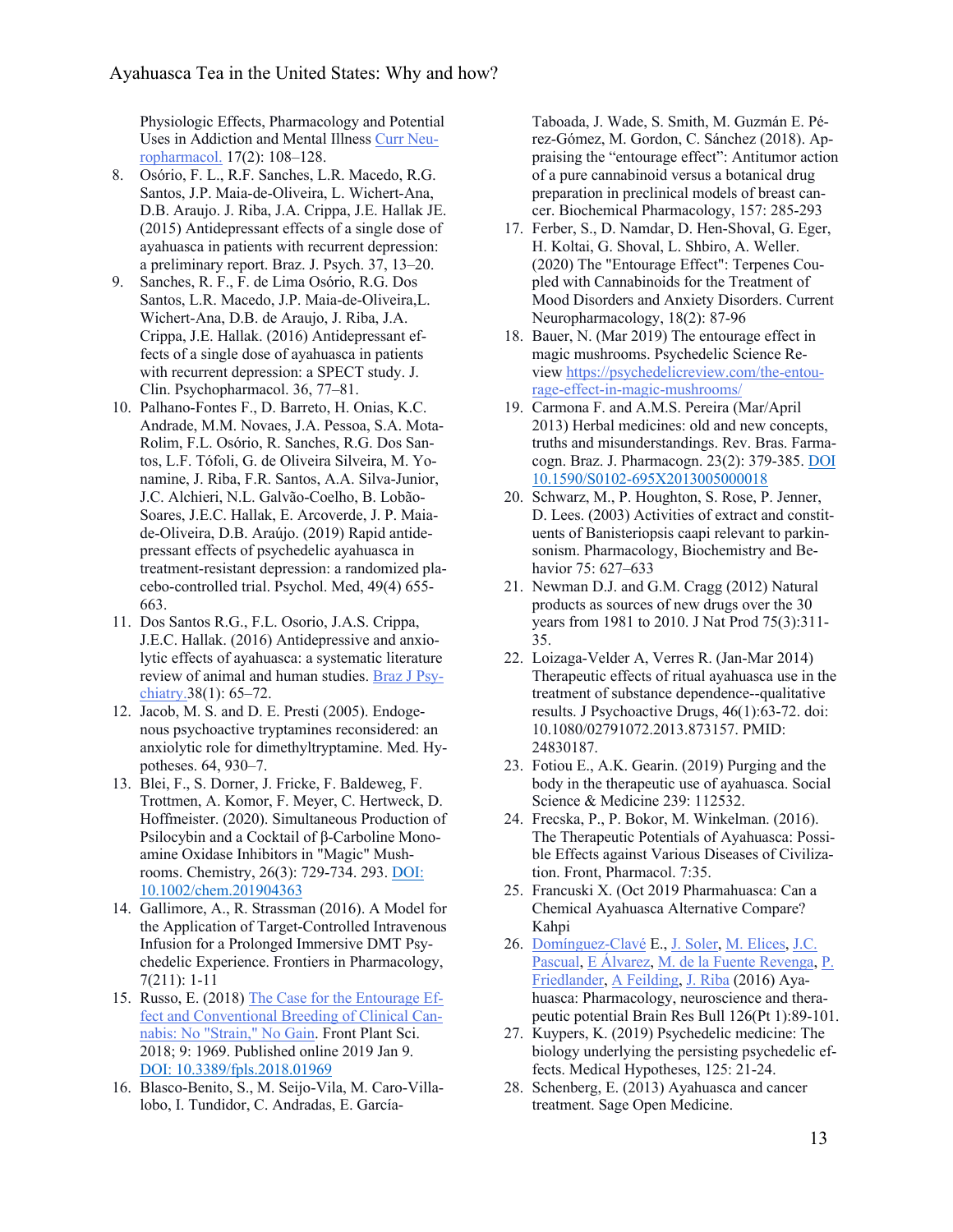Physiologic Effects, Pharmacology and Potential Uses in Addiction and Mental Illness Curr Neuropharmacol. 17(2): 108–128.

- 8. Osório, F. L., R.F. Sanches, L.R. Macedo, R.G. Santos, J.P. Maia-de-Oliveira, L. Wichert-Ana, D.B. Araujo. J. Riba, J.A. Crippa, J.E. Hallak JE. (2015) Antidepressant effects of a single dose of ayahuasca in patients with recurrent depression: a preliminary report. Braz. J. Psych. 37, 13–20.
- 9. Sanches, R. F., F. de Lima Osório, R.G. Dos Santos, L.R. Macedo, J.P. Maia-de-Oliveira,L. Wichert-Ana, D.B. de Araujo, J. Riba, J.A. Crippa, J.E. Hallak. (2016) Antidepressant effects of a single dose of ayahuasca in patients with recurrent depression: a SPECT study. J. Clin. Psychopharmacol. 36, 77–81.
- 10. Palhano-Fontes F., D. Barreto, H. Onias, K.C. Andrade, M.M. Novaes, J.A. Pessoa, S.A. Mota-Rolim, F.L. Osório, R. Sanches, R.G. Dos Santos, L.F. Tófoli, G. de Oliveira Silveira, M. Yonamine, J. Riba, F.R. Santos, A.A. Silva-Junior, J.C. Alchieri, N.L. Galvão-Coelho, B. Lobão-Soares, J.E.C. Hallak, E. Arcoverde, J. P. Maiade-Oliveira, D.B. Araújo. (2019) Rapid antidepressant effects of psychedelic ayahuasca in treatment-resistant depression: a randomized placebo-controlled trial. Psychol. Med, 49(4) 655- 663.
- 11. Dos Santos R.G., F.L. Osorio, J.A.S. Crippa, J.E.C. Hallak. (2016) Antidepressive and anxiolytic effects of ayahuasca: a systematic literature review of animal and human studies. Braz J Psychiatry.38(1): 65–72.
- 12. Jacob, M. S. and D. E. Presti (2005). Endogenous psychoactive tryptamines reconsidered: an anxiolytic role for dimethyltryptamine. Med. Hypotheses. 64, 930–7.
- 13. Blei, F., S. Dorner, J. Fricke, F. Baldeweg, F. Trottmen, A. Komor, F. Meyer, C. Hertweck, D. Hoffmeister. (2020). Simultaneous Production of Psilocybin and a Cocktail of β-Carboline Monoamine Oxidase Inhibitors in "Magic" Mushrooms. Chemistry, 26(3): 729-734. 293. DOI: 10.1002/chem.201904363
- 14. Gallimore, A., R. Strassman (2016). A Model for the Application of Target-Controlled Intravenous Infusion for a Prolonged Immersive DMT Psychedelic Experience. Frontiers in Pharmacology, 7(211): 1-11
- 15. Russo, E. (2018) The Case for the Entourage Effect and Conventional Breeding of Clinical Cannabis: No "Strain," No Gain. Front Plant Sci. 2018; 9: 1969. Published online 2019 Jan 9. DOI: 10.3389/fpls.2018.01969
- 16. Blasco-Benito, S., M. Seijo-Vila, M. Caro-Villalobo, I. Tundidor, C. Andradas, E. García-

Taboada, J. Wade, S. Smith, M. Guzmán E. Pérez-Gómez, M. Gordon, C. Sánchez (2018). Appraising the "entourage effect": Antitumor action of a pure cannabinoid versus a botanical drug preparation in preclinical models of breast cancer. Biochemical Pharmacology, 157: 285-293

- 17. Ferber, S., D. Namdar, D. Hen-Shoval, G. Eger, H. Koltai, G. Shoval, L. Shbiro, A. Weller. (2020) The "Entourage Effect": Terpenes Coupled with Cannabinoids for the Treatment of Mood Disorders and Anxiety Disorders. Current Neuropharmacology, 18(2): 87-96
- 18. Bauer, N. (Mar 2019) The entourage effect in magic mushrooms. Psychedelic Science Review https://psychedelicreview.com/the-entourage-effect-in-magic-mushrooms/
- 19. Carmona F. and A.M.S. Pereira (Mar/April 2013) Herbal medicines: old and new concepts, truths and misunderstandings. Rev. Bras. Farmacogn. Braz. J. Pharmacogn. 23(2): 379-385. DOI 10.1590/S0102-695X2013005000018
- 20. Schwarz, M., P. Houghton, S. Rose, P. Jenner, D. Lees. (2003) Activities of extract and constituents of Banisteriopsis caapi relevant to parkinsonism. Pharmacology, Biochemistry and Behavior 75: 627–633
- 21. Newman D.J. and G.M. Cragg (2012) Natural products as sources of new drugs over the 30 years from 1981 to 2010. J Nat Prod 75(3):311- 35.
- 22. Loizaga-Velder A, Verres R. (Jan-Mar 2014) Therapeutic effects of ritual ayahuasca use in the treatment of substance dependence--qualitative results. J Psychoactive Drugs, 46(1):63-72. doi: 10.1080/02791072.2013.873157. PMID: 24830187.
- 23. Fotiou E., A.K. Gearin. (2019) Purging and the body in the therapeutic use of ayahuasca. Social Science & Medicine 239: 112532.
- 24. Frecska, P., P. Bokor, M. Winkelman. (2016). The Therapeutic Potentials of Ayahuasca: Possible Effects against Various Diseases of Civilization. Front, Pharmacol. 7:35.
- 25. Francuski X. (Oct 2019 Pharmahuasca: Can a Chemical Ayahuasca Alternative Compare? Kahpi
- 26. Domínguez-Clavé E., J. Soler, M. Elices, J.C. Pascual, E Álvarez, M. de la Fuente Revenga, P. Friedlander, A Feilding, J. Riba (2016) Ayahuasca: Pharmacology, neuroscience and therapeutic potential Brain Res Bull 126(Pt 1):89-101.
- 27. Kuypers, K. (2019) Psychedelic medicine: The biology underlying the persisting psychedelic effects. Medical Hypotheses, 125: 21-24.
- 28. Schenberg, E. (2013) Ayahuasca and cancer treatment. Sage Open Medicine.